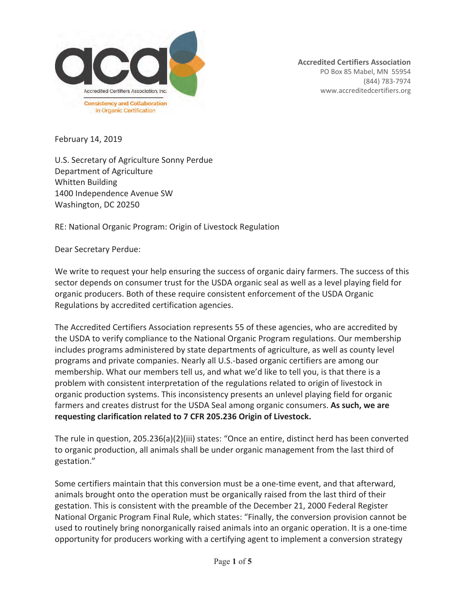

**Accredited Certifiers Association**  PO Box 85 Mabel, MN 55954 (844) 783-7974 www.accreditedcertifiers.org

February 14, 2019

U.S. Secretary of Agriculture Sonny Perdue Department of Agriculture Whitten Building 1400 Independence Avenue SW Washington, DC 20250

RE: National Organic Program: Origin of Livestock Regulation

Dear Secretary Perdue:

We write to request your help ensuring the success of organic dairy farmers. The success of this sector depends on consumer trust for the USDA organic seal as well as a level playing field for organic producers. Both of these require consistent enforcement of the USDA Organic Regulations by accredited certification agencies.

The Accredited Certifiers Association represents 55 of these agencies, who are accredited by the USDA to verify compliance to the National Organic Program regulations. Our membership includes programs administered by state departments of agriculture, as well as county level programs and private companies. Nearly all U.S.-based organic certifiers are among our membership. What our members tell us, and what we'd like to tell you, is that there is a problem with consistent interpretation of the regulations related to origin of livestock in organic production systems. This inconsistency presents an unlevel playing field for organic farmers and creates distrust for the USDA Seal among organic consumers. **As such, we are requesting clarification related to 7 CFR 205.236 Origin of Livestock.** 

The rule in question, 205.236(a)(2)(iii) states: "Once an entire, distinct herd has been converted to organic production, all animals shall be under organic management from the last third of gestation."

Some certifiers maintain that this conversion must be a one-time event, and that afterward, animals brought onto the operation must be organically raised from the last third of their gestation. This is consistent with the preamble of the December 21, 2000 Federal Register National Organic Program Final Rule, which states: "Finally, the conversion provision cannot be used to routinely bring nonorganically raised animals into an organic operation. It is a one-time opportunity for producers working with a certifying agent to implement a conversion strategy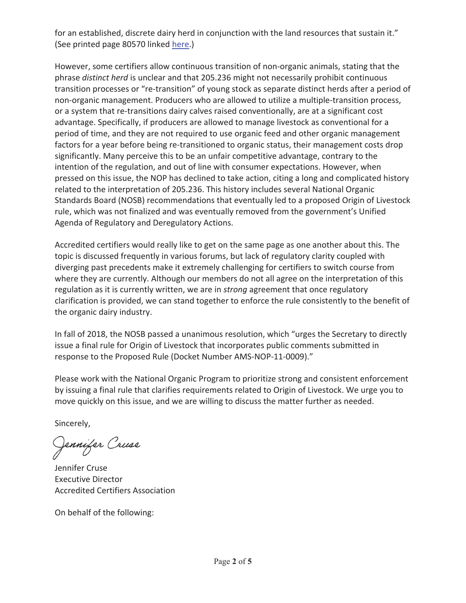for an established, discrete dairy herd in conjunction with the land resources that sustain it." (See printed page 80570 linked here.)

However, some certifiers allow continuous transition of non-organic animals, stating that the phrase *distinct herd* is unclear and that 205.236 might not necessarily prohibit continuous transition processes or "re-transition" of young stock as separate distinct herds after a period of non-organic management. Producers who are allowed to utilize a multiple-transition process, or a system that re-transitions dairy calves raised conventionally, are at a significant cost advantage. Specifically, if producers are allowed to manage livestock as conventional for a period of time, and they are not required to use organic feed and other organic management factors for a year before being re-transitioned to organic status, their management costs drop significantly. Many perceive this to be an unfair competitive advantage, contrary to the intention of the regulation, and out of line with consumer expectations. However, when pressed on this issue, the NOP has declined to take action, citing a long and complicated history related to the interpretation of 205.236. This history includes several National Organic Standards Board (NOSB) recommendations that eventually led to a proposed Origin of Livestock rule, which was not finalized and was eventually removed from the government's Unified Agenda of Regulatory and Deregulatory Actions.

Accredited certifiers would really like to get on the same page as one another about this. The topic is discussed frequently in various forums, but lack of regulatory clarity coupled with diverging past precedents make it extremely challenging for certifiers to switch course from where they are currently. Although our members do not all agree on the interpretation of this regulation as it is currently written, we are in *strong* agreement that once regulatory clarification is provided, we can stand together to enforce the rule consistently to the benefit of the organic dairy industry.

In fall of 2018, the NOSB passed a unanimous resolution, which "urges the Secretary to directly issue a final rule for Origin of Livestock that incorporates public comments submitted in response to the Proposed Rule (Docket Number AMS-NOP-11-0009)."

Please work with the National Organic Program to prioritize strong and consistent enforcement by issuing a final rule that clarifies requirements related to Origin of Livestock. We urge you to move quickly on this issue, and we are willing to discuss the matter further as needed.

Sincerely, Sincerely,

Jennifer Cruse

Jennifer Cruse Executive Director Accredited Certifiers Association

On behalf of the following: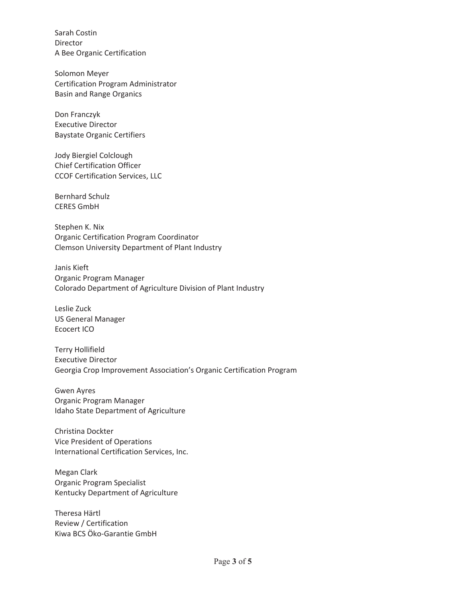Sarah Costin Director A Bee Organic Certification

Solomon Meyer Certification Program Administrator Basin and Range Organics

Don Franczyk Executive Director Baystate Organic Certifiers

Jody Biergiel Colclough Chief Certification Officer CCOF Certification Services, LLC

Bernhard Schulz CERES GmbH

Stephen K. Nix Organic Certification Program Coordinator Clemson University Department of Plant Industry

Janis Kieft Organic Program Manager Colorado Department of Agriculture Division of Plant Industry

Leslie Zuck US General Manager Ecocert ICO

Terry Hollifield Executive Director Georgia Crop Improvement Association's Organic Certification Program

Gwen Ayres Organic Program Manager Idaho State Department of Agriculture

Christina Dockter Vice President of Operations International Certification Services, Inc.

Megan Clark Organic Program Specialist Kentucky Department of Agriculture

Theresa Härtl Review / Certification Kiwa BCS Öko-Garantie GmbH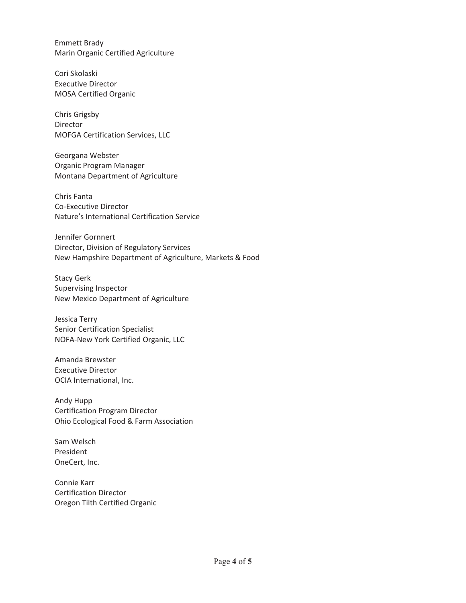Emmett Brady Marin Organic Certified Agriculture

Cori Skolaski Executive Director MOSA Certified Organic

Chris Grigsby Director MOFGA Certification Services, LLC

Georgana Webster Organic Program Manager Montana Department of Agriculture

Chris Fanta Co-Executive Director Nature's International Certification Service

Jennifer Gornnert Director, Division of Regulatory Services New Hampshire Department of Agriculture, Markets & Food

Stacy Gerk Supervising Inspector New Mexico Department of Agriculture

Jessica Terry Senior Certification Specialist NOFA-New York Certified Organic, LLC

Amanda Brewster Executive Director OCIA International, Inc.

Andy Hupp Certification Program Director Ohio Ecological Food & Farm Association

Sam Welsch President OneCert, Inc.

Connie Karr Certification Director Oregon Tilth Certified Organic